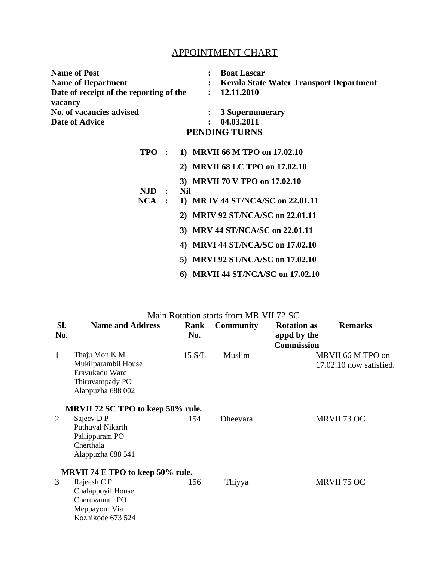## APPOINTMENT CHART

| <b>Name of Post</b>                     |  | <b>Boat Lascar</b>                             |  |  |  |  |  |
|-----------------------------------------|--|------------------------------------------------|--|--|--|--|--|
| <b>Name of Department</b>               |  | <b>Kerala State Water Transport Department</b> |  |  |  |  |  |
| Date of receipt of the reporting of the |  | 12.11.2010                                     |  |  |  |  |  |
| vacancy                                 |  |                                                |  |  |  |  |  |
| No. of vacancies advised                |  | 3 Supernumerary                                |  |  |  |  |  |
| <b>Date of Advice</b>                   |  | 04.03.2011                                     |  |  |  |  |  |
| <b>PENDING TURNS</b>                    |  |                                                |  |  |  |  |  |

| <b>TPO</b> | $\mathbb{R}^n$      | 1) MRVII 66 M TPO on 17.02.10              |
|------------|---------------------|--------------------------------------------|
|            |                     | <b>MRVII 68 LC TPO on 17.02.10</b><br>2)   |
|            |                     | 3) MRVII 70 V TPO on 17.02.10              |
| NJD.       | $\sim$ 1.000 $\sim$ | Nil                                        |
| $NCA$ :    |                     | 1) MR IV 44 ST/NCA/SC on 22.01.11          |
|            |                     | <b>MRIV 92 ST/NCA/SC on 22.01.11</b><br>2) |
|            |                     | <b>MRV 44 ST/NCA/SC on 22.01.11</b><br>3)  |
|            |                     | <b>MRVI 44 ST/NCA/SC on 17.02.10</b><br>4) |
|            |                     | <b>MRVI 92 ST/NCA/SC on 17.02.10</b><br>5) |
|            |                     | <b>MRVII 44 ST/NCA/SC on 17.02.10</b>      |

| SI.<br>No.                       | <b>Name and Address</b>                                                                        | Rank<br>No.      | <b>Community</b> | <b>Rotation as</b><br>appd by the<br><b>Commission</b> | <b>Remarks</b>                               |  |  |  |
|----------------------------------|------------------------------------------------------------------------------------------------|------------------|------------------|--------------------------------------------------------|----------------------------------------------|--|--|--|
| $\mathbf{1}$                     | Thaju Mon K M<br>Mukilparambil House<br>Eravukadu Ward<br>Thiruvampady PO<br>Alappuzha 688 002 | $15 \text{ S/L}$ | Muslim           |                                                        | MRVII 66 M TPO on<br>17.02.10 now satisfied. |  |  |  |
|                                  | MRVII 72 SC TPO to keep 50% rule.                                                              |                  |                  |                                                        |                                              |  |  |  |
| 2                                | Sajeev D P<br>Puthuval Nikarth<br>Pallippuram PO<br>Cherthala<br>Alappuzha 688 541             | 154              | <b>Dheevara</b>  |                                                        | MRVII 73 OC                                  |  |  |  |
| MRVII 74 E TPO to keep 50% rule. |                                                                                                |                  |                  |                                                        |                                              |  |  |  |
| 3                                | Rajeesh C P<br>Chalappoyil House<br>Cheruvannur PO<br>Meppayour Via<br>Kozhikode 673 524       | 156              | Thiyya           |                                                        | MRVII 75 OC                                  |  |  |  |